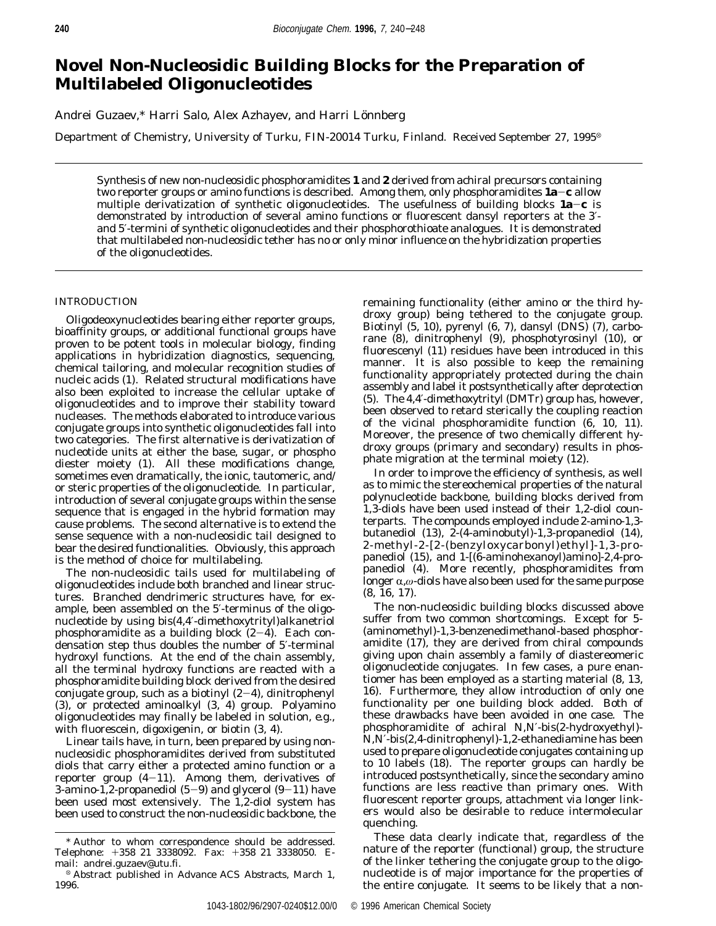# **Novel Non-Nucleosidic Building Blocks for the Preparation of Multilabeled Oligonucleotides**

Andrei Guzaev,\* Harri Salo, Alex Azhayev, and Harri Lönnberg

Department of Chemistry, University of Turku, FIN-20014 Turku, Finland. Received September 27, 1995<sup>®</sup>

Synthesis of new non-nucleosidic phosphoramidites **1** and **2** derived from achiral precursors containing two reporter groups or amino functions is described. Among them, only phosphoramidites **1a**-**c** allow multiple derivatization of synthetic oligonucleotides. The usefulness of building blocks **1a**-**c** is demonstrated by introduction of several amino functions or fluorescent dansyl reporters at the 3′ and 5′-termini of synthetic oligonucleotides and their phosphorothioate analogues. It is demonstrated that multilabeled non-nucleosidic tether has no or only minor influence on the hybridization properties of the oligonucleotides.

## INTRODUCTION

Oligodeoxynucleotides bearing either reporter groups, bioaffinity groups, or additional functional groups have proven to be potent tools in molecular biology, finding applications in hybridization diagnostics, sequencing, chemical tailoring, and molecular recognition studies of nucleic acids (*1*). Related structural modifications have also been exploited to increase the cellular uptake of oligonucleotides and to improve their stability toward nucleases. The methods elaborated to introduce various conjugate groups into synthetic oligonucleotides fall into two categories. The first alternative is derivatization of nucleotide units at either the base, sugar, or phospho diester moiety (*1*). All these modifications change, sometimes even dramatically, the ionic, tautomeric, and/ or steric properties of the oligonucleotide. In particular, introduction of several conjugate groups within the sense sequence that is engaged in the hybrid formation may cause problems. The second alternative is to extend the sense sequence with a non-nucleosidic tail designed to bear the desired functionalities. Obviously, this approach is the method of choice for multilabeling.

The non-nucleosidic tails used for multilabeling of oligonucleotides include both branched and linear structures. Branched dendrimeric structures have, for example, been assembled on the 5′-terminus of the oligonucleotide by using bis(4,4′-dimethoxytrityl)alkanetriol phosphoramidite as a building block (*2*-*4*). Each condensation step thus doubles the number of 5′-terminal hydroxyl functions. At the end of the chain assembly, all the terminal hydroxy functions are reacted with a phosphoramidite building block derived from the desired conjugate group, such as a biotinyl (*2*-*4*), dinitrophenyl (*3*), or protected aminoalkyl (*3*, *4*) group. Polyamino oligonucleotides may finally be labeled in solution, *e*.*g*., with fluorescein, digoxigenin, or biotin (*3*, *4*).

Linear tails have, in turn, been prepared by using nonnucleosidic phosphoramidites derived from substituted diols that carry either a protected amino function or a reporter group (*4*-*11*). Among them, derivatives of 3-amino-1,2-propanediol (*5*-*9*) and glycerol (*9*-*11*) have been used most extensively. The 1,2-diol system has been used to construct the non-nucleosidic backbone, the

remaining functionality (either amino or the third hydroxy group) being tethered to the conjugate group. Biotinyl (*5*, *10*), pyrenyl (*6*, *7*), dansyl (DNS) (*7*), carborane (*8*), dinitrophenyl (*9*), phosphotyrosinyl (*10*), or fluorescenyl (*11*) residues have been introduced in this manner. It is also possible to keep the remaining functionality appropriately protected during the chain assembly and label it postsynthetically after deprotection (*5*). The 4,4′-dimethoxytrityl (DMTr) group has, however, been observed to retard sterically the coupling reaction of the vicinal phosphoramidite function (*6*, *10*, *11*). Moreover, the presence of two chemically different hydroxy groups (primary and secondary) results in phosphate migration at the terminal moiety (*12*).

In order to improve the efficiency of synthesis, as well as to mimic the stereochemical properties of the natural polynucleotide backbone, building blocks derived from 1,3-diols have been used instead of their 1,2-diol counterparts. The compounds employed include 2-amino-1,3 butanediol (*13*), 2-(4-aminobutyl)-1,3-propanediol (*14*), 2-methyl-2-[2-(benzyloxycarbonyl)ethyl]-1,3-propanediol (*15*), and 1-[(6-aminohexanoyl)amino]-2,4-propanediol (*4*). More recently, phosphoramidites from longer  $\alpha$ , $\omega$ -diols have also been used for the same purpose (*8*, *16*, *17*).

The non-nucleosidic building blocks discussed above suffer from two common shortcomings. Except for 5- (aminomethyl)-1,3-benzenedimethanol-based phosphoramidite (*17*), they are derived from chiral compounds giving upon chain assembly a family of diastereomeric oligonucleotide conjugates. In few cases, a pure enantiomer has been employed as a starting material (*8*, *13*, *16*). Furthermore, they allow introduction of only one functionality per one building block added. Both of these drawbacks have been avoided in one case. The phosphoramidite of achiral *N*,*N*′-bis(2-hydroxyethyl)- *N*,*N*′-bis(2,4-dinitrophenyl)-1,2-ethanediamine has been used to prepare oligonucleotide conjugates containing up to 10 labels (*18*). The reporter groups can hardly be introduced postsynthetically, since the secondary amino functions are less reactive than primary ones. With fluorescent reporter groups, attachment *via* longer linkers would also be desirable to reduce intermolecular quenching.

These data clearly indicate that, regardless of the nature of the reporter (functional) group, the structure of the linker tethering the conjugate group to the oligonucleotide is of major importance for the properties of the entire conjugate. It seems to be likely that a non-

<sup>\*</sup> Author to whom correspondence should be addressed. Telephone: +358 21 3338092. Fax: +358 21 3338050. E-

mail: andrei.guzaev@utu.fi.<br><sup>©</sup> Abstract published in *Advance ACS Abstracts*, March 1, 1996.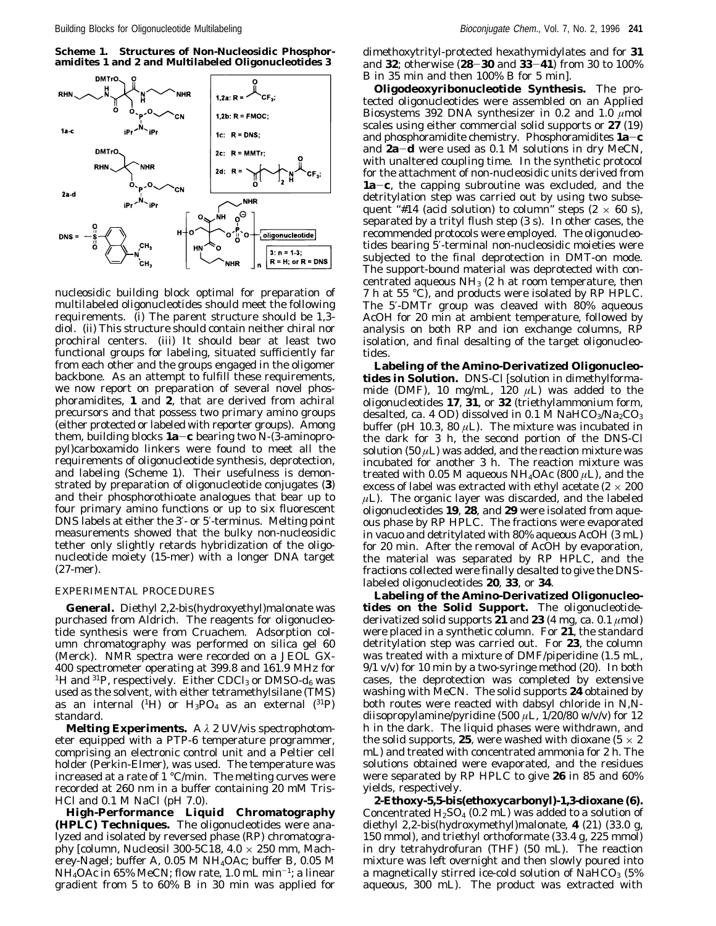**Scheme 1. Structures of Non-Nucleosidic Phosphoramidites 1 and 2 and Multilabeled Oligonucleotides 3**



nucleosidic building block optimal for preparation of multilabeled oligonucleotides should meet the following requirements. (i) The parent structure should be 1,3 diol. (ii) This structure should contain neither chiral nor prochiral centers. (iii) It should bear at least two functional groups for labeling, situated sufficiently far from each other and the groups engaged in the oligomer backbone. As an attempt to fulfill these requirements, we now report on preparation of several novel phosphoramidites, **1** and **2**, that are derived from achiral precursors and that possess two primary amino groups (either protected or labeled with reporter groups). Among them, building blocks **1a**-**c** bearing two *N*-(3-aminopropyl)carboxamido linkers were found to meet all the requirements of oligonucleotide synthesis, deprotection, and labeling (Scheme 1). Their usefulness is demonstrated by preparation of oligonucleotide conjugates (**3**) and their phosphorothioate analogues that bear up to four primary amino functions or up to six fluorescent DNS labels at either the 3′- or 5′-terminus. Melting point measurements showed that the bulky non-nucleosidic tether only slightly retards hybridization of the oligonucleotide moiety (15-mer) with a longer DNA target (27-mer).

# EXPERIMENTAL PROCEDURES

**General.** Diethyl 2,2-bis(hydroxyethyl)malonate was purchased from Aldrich. The reagents for oligonucleotide synthesis were from Cruachem. Adsorption column chromatography was performed on silica gel 60 (Merck). NMR spectra were recorded on a JEOL GX-400 spectrometer operating at 399.8 and 161.9 MHz for <sup>1</sup>H and <sup>31</sup>P, respectively. Either CDCl<sub>3</sub> or DMSO- $d_6$  was used as the solvent, with either tetramethylsilane (TMS) as an internal ( $^1$ H) or H<sub>3</sub>PO<sub>4</sub> as an external ( $^{31}$ P) standard.

**Melting Experiments.** A *λ* 2 UV/vis spectrophotometer equipped with a PTP-6 temperature programmer, comprising an electronic control unit and a Peltier cell holder (Perkin-Elmer), was used. The temperature was increased at a rate of 1 °C/min. The melting curves were recorded at 260 nm in a buffer containing 20 mM Tris-HCl and 0.1 M NaCl (pH 7.0).

**High-Performance Liquid Chromatography (HPLC) Techniques.** The oligonucleotides were analyzed and isolated by reversed phase (RP) chromatography [column, Nucleosil 300-5C18,  $4.0 \times 250$  mm, Macherey-Nagel; buffer A, 0.05 M NH4OAc; buffer B, 0.05 M  $NH<sub>4</sub>OAC$  in 65% MeCN; flow rate, 1.0 mL min<sup>-1</sup>; a linear gradient from 5 to 60% B in 30 min was applied for

dimethoxytrityl-protected hexathymidylates and for **31** and **32**; otherwise (**28**-**30** and **33**-**41**) from 30 to 100% B in 35 min and then 100% B for 5 min].

**Oligodeoxyribonucleotide Synthesis.** The protected oligonucleotides were assembled on an Applied Biosystems 392 DNA synthesizer in 0.2 and 1.0 *µ*mol scales using either commercial solid supports or **27** (*19*) and phosphoramidite chemistry. Phosphoramidites **1a**-**c** and **2a**-**d** were used as 0.1 M solutions in dry MeCN, with unaltered coupling time. In the synthetic protocol for the attachment of non-nucleosidic units derived from **1a**-**c**, the capping subroutine was excluded, and the detritylation step was carried out by using two subsequent "#14 (acid solution) to column" steps  $(2 \times 60 \text{ s})$ , separated by a trityl flush step (3 s). In other cases, the recommended protocols were employed. The oligonucleotides bearing 5′-terminal non-nucleosidic moieties were subjected to the final deprotection in DMT-on mode. The support-bound material was deprotected with concentrated aqueous  $NH<sub>3</sub>$  (2 h at room temperature, then 7 h at 55 °C), and products were isolated by RP HPLC. The 5′-DMTr group was cleaved with 80% aqueous AcOH for 20 min at ambient temperature, followed by analysis on both RP and ion exchange columns, RP isolation, and final desalting of the target oligonucleotides.

**Labeling of the Amino-Derivatized Oligonucleotides in Solution.** DNS-Cl [solution in dimethylformamide (DMF), 10 mg/mL, 120  $\mu$ L) was added to the oligonucleotides **17**, **31**, or **32** (triethylammonium form, desalted,  $ca. 4$  OD) dissolved in 0.1 M  $NaHCO<sub>3</sub>/Na<sub>2</sub>CO<sub>3</sub>$ buffer (pH 10.3, 80  $\mu$ L). The mixture was incubated in the dark for 3 h, the second portion of the DNS-Cl solution (50  $\mu$ L) was added, and the reaction mixture was incubated for another 3 h. The reaction mixture was treated with 0.05 M aqueous NH4OAc (800 *µ*L), and the excess of label was extracted with ethyl acetate (2  $\times$  200  $\mu$ L). The organic layer was discarded, and the labeled oligonucleotides **19**, **28**, and **29** were isolated from aqueous phase by RP HPLC. The fractions were evaporated *in vacuo* and detritylated with 80% aqueous AcOH (3 mL) for 20 min. After the removal of AcOH by evaporation, the material was separated by RP HPLC, and the fractions collected were finally desalted to give the DNSlabeled oligonucleotides **20**, **33**, or **34**.

**Labeling of the Amino-Derivatized Oligonucleotides on the Solid Support.** The oligonucleotidederivatized solid supports 21 and 23 (4 mg, *ca*. 0.1  $\mu$ mol) were placed in a synthetic column. For **21**, the standard detritylation step was carried out. For **23**, the column was treated with a mixture of DMF/piperidine (1.5 mL, 9/1 v/v) for 10 min by a two-syringe method (*20*). In both cases, the deprotection was completed by extensive washing with MeCN. The solid supports **24** obtained by both routes were reacted with dabsyl chloride in *N*,*N*diisopropylamine/pyridine (500 *µ*L, 1/20/80 w/v/v) for 12 h in the dark. The liquid phases were withdrawn, and the solid supports, **25**, were washed with dioxane ( $5 \times 2$ ) mL) and treated with concentrated ammonia for 2 h. The solutions obtained were evaporated, and the residues were separated by RP HPLC to give **26** in 85 and 60% yields, respectively.

**2-Ethoxy-5,5-bis(ethoxycarbonyl)-1,3-dioxane (6).** Concentrated  $H_2SO_4$  (0.2 mL) was added to a solution of diethyl 2,2-bis(hydroxymethyl)malonate, **4** (*21*) (33.0 g, 150 mmol), and triethyl orthoformate (33.4 g, 225 mmol) in dry tetrahydrofuran (THF) (50 mL). The reaction mixture was left overnight and then slowly poured into a magnetically stirred ice-cold solution of  $NAHCO<sub>3</sub>$  (5%) aqueous, 300 mL). The product was extracted with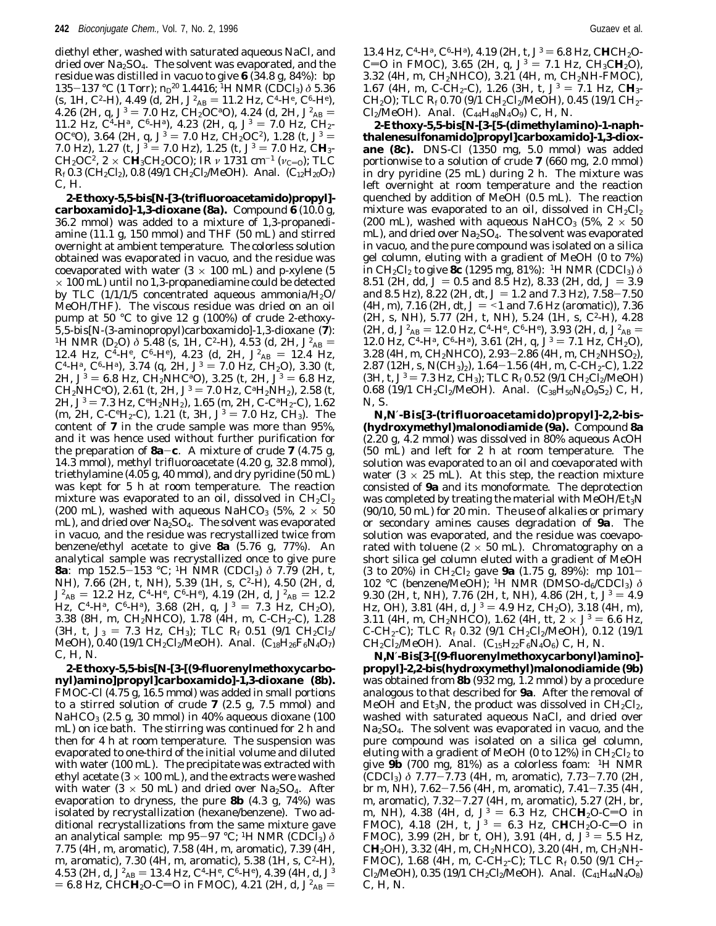diethyl ether, washed with saturated aqueous NaCl, and dried over  $Na<sub>2</sub>SO<sub>4</sub>$ . The solvent was evaporated, and the residue was distilled *in vacuo* to give **6** (34.8 g, 84%): bp 135-137 °C (1 Torr);  $n_D^{20}$  1.4416; <sup>1</sup>H NMR (CDCl<sub>3</sub>)  $\delta$  5.36  $(S, 1H, C^2-H)$ , 4.49 (d, 2H,  $J_{AB}^2 = 11.2$  Hz,  $C^4$ -H<sup>e</sup>,  $C^6$ -H<sup>e</sup>), 4.26 (2H, q,  $\mathcal{J}^3 = 7.0$  Hz, CH<sub>2</sub>OC<sup>a</sup>O), 4.24 (d, 2H,  $\mathcal{J}_{AB} =$ 11.2 Hz,  $\hat{C}^4$ -H<sup>a</sup>,  $C^6$ -H<sup>a</sup>), 4.23 (2H, q,  $\mathcal{J}^3 = 7.0$  Hz,  $CH_2$ -OC<sup>o</sup>O), 3.64 (2H, q,  $J^3 = 7.0$  Hz, CH<sub>2</sub>OC<sup>2</sup>), 1.28 (t,  $J^3 =$ 7.0 Hz), 1.27 (t,  $J^3 = 7.0$  Hz), 1.25 (t,  $J^3 = 7.0$  Hz, CH<sub>3</sub>-CH<sub>2</sub>OC<sup>2</sup>, 2 × C**H**<sub>3</sub>CH<sub>2</sub>OCO); IR ν 1731 cm<sup>-1</sup> (ν<sub>C=0</sub>); TLC  $R_f$ 0.3 (CH<sub>2</sub>Cl<sub>2</sub>), 0.8 (49/1 CH<sub>2</sub>Cl<sub>2</sub>/MeOH). Anal. (C<sub>12</sub>H<sub>20</sub>O<sub>7</sub>) C, H.

**2-Ethoxy-5,5-bis[***N***-[3-(trifluoroacetamido)propyl] carboxamido]-1,3-dioxane (8a).** Compound **6** (10.0 g, 36.2 mmol) was added to a mixture of 1,3-propanediamine (11.1 g, 150 mmol) and THF (50 mL) and stirred overnight at ambient temperature. The colorless solution obtained was evaporated *in vacuo*, and the residue was coevaporated with water  $(3 \times 100 \text{ mL})$  and *p*-xylene  $(5 \times 100 \text{ m})$  $\times$  100 mL) until no 1,3-propanediamine could be detected by TLC (1/1/1/5 concentrated aqueous ammonia/ $H_2O$ MeOH/THF). The viscous residue was dried on an oil pump at 50 °C to give 12 g (100%) of crude 2-ethoxy-5,5-bis[*N*-(3-aminopropyl)carboxamido]-1,3-dioxane (**7**): <sup>1</sup>H NMR (D<sub>2</sub>O)  $\delta$  5.48 (s, 1H, C<sup>2</sup>-H), 4.53 (d, 2H,  $J_{AB}^2 =$ 12.4 Hz,  $C^4$ -H<sup>e</sup>,  $C^6$ -H<sup>e</sup>), 4.23 (d, 2H,  $J^2$ <sub>AB</sub> = 12.4 Hz,  $C^4$ -H<sup>a</sup>,  $C^6$ -H<sup>a</sup>), 3.74 (q, 2H,  $J^3 = 7.0$  Hz,  $CH_2O$ ), 3.30 (t, 2H,  $J^3 = 6.8$  Hz, CH<sub>2</sub>NHC<sup>a</sup>O), 3.25 (t, 2H,  $J^3 = 6.8$  Hz, CH<sub>2</sub>NHC<sup>e</sup>O), 2.61 (t, 2H,  $J^3 = 7.0$  Hz, C<sup>a</sup>H<sub>2</sub>NH<sub>2</sub>), 2.58 (t,  $2H, \mathcal{J}^3 = 7.3$  Hz,  $C^{\circ}H_2NH_2$ ), 1.65 (m, 2H,  $C^{\circ}C^aH_2^{\circ}C$ ), 1.62 (m, 2H, C-C<sup>e</sup>H<sub>2</sub>-C), 1.21 (t, 3H,  $J^3 = 7.0$  Hz, CH<sub>3</sub>). The content of **7** in the crude sample was more than 95%, and it was hence used without further purification for the preparation of  $8a - c$ . A mixture of crude 7 (4.75 g, 14.3 mmol), methyl trifluoroacetate (4.20 g, 32.8 mmol), triethylamine (4.05 g, 40 mmol), and dry pyridine (50 mL) was kept for 5 h at room temperature. The reaction mixture was evaporated to an oil, dissolved in  $CH_2Cl_2$ (200 mL), washed with aqueous NaHCO<sub>3</sub> (5%, 2  $\times$  50 mL), and dried over Na<sub>2</sub>SO<sub>4</sub>. The solvent was evaporated *in vacuo*, and the residue was recrystallized twice from benzene/ethyl acetate to give **8a** (5.76 g, 77%). An analytical sample was recrystallized once to give pure **8a**: mp 152.5-153 °C; 1H NMR (CDCl3) *δ* 7.79 (2H, t, NH), 7.66 (2H, t, NH), 5.39 (1H, s, C<sup>2</sup>-H), 4.50 (2H, d,  $J_{AB}^2 = 12.2$  Hz, C<sup>4</sup>-H<sup>e</sup>, C<sup>6</sup>-H<sup>e</sup>), 4.19 (2H, d,  $J_{AB}^2 = 12.2$ Hz,  $C^4$ -H<sup>a</sup>,  $C^6$ -H<sup>a</sup>), 3.68 (2H, q,  $J^3 = 7.3$  Hz,  $CH_2O$ ), 3.38 (8H, m, CH<sub>2</sub>NHCO), 1.78 (4H, m, C-CH<sub>2</sub>-C), 1.28 (3H, t,  $J_3 = 7.3$  Hz, CH<sub>3</sub>); TLC  $R_f$  0.51 (9/1 CH<sub>2</sub>Cl<sub>2</sub>/ MeOH), 0.40 (19/1 CH<sub>2</sub>Cl<sub>2</sub>/MeOH). Anal.  $(C_{18}H_{26}F_6N_4O_7)$ C, H, N.

**2-Ethoxy-5,5-bis[***N***-[3-[(9-fluorenylmethoxycarbonyl)amino]propyl]carboxamido]-1,3-dioxane (8b).** FMOC-Cl (4.75 g, 16.5 mmol) was added in small portions to a stirred solution of crude **7** (2.5 g, 7.5 mmol) and NaHCO<sub>3</sub> (2.5 g, 30 mmol) in 40% aqueous dioxane (100 mL) on ice bath. The stirring was continued for 2 h and then for 4 h at room temperature. The suspension was evaporated to one-third of the initial volume and diluted with water (100 mL). The precipitate was extracted with ethyl acetate ( $3 \times 100$  mL), and the extracts were washed with water (3  $\times$  50 mL) and dried over Na<sub>2</sub>SO<sub>4</sub>. After evaporation to dryness, the pure **8b** (4.3 g, 74%) was isolated by recrystallization (hexane/benzene). Two additional recrystallizations from the same mixture gave an analytical sample: mp  $95-97$  °C; <sup>1</sup>H NMR (CDCl<sub>3</sub>)  $δ$ 7.75 (4H, m, aromatic), 7.58 (4H, m, aromatic), 7.39 (4H, m, aromatic), 7.30 (4H, m, aromatic), 5.38 (1H, s,  $C^2$ -H),  $4.53$  (2H, d,  $\mathcal{S}_{AB} = 13.4$  Hz,  $C^4$ -H<sup>e</sup>,  $C^6$ -H<sup>e</sup>),  $4.39$  (4H, d,  $\mathcal{S}$  $= 6.8$  Hz, CHC**H**<sub>2</sub>O-C=O in FMOC), 4.21 (2H, d,  $J_{AB}^2 =$ 

13.4 Hz,  $C^4$ -H<sup>a</sup>,  $C^6$ -H<sup>a</sup>), 4.19 (2H, t,  $J^3 = 6.8$  Hz,  $CHCH_2O$ -C=O in FMOC), 3.65 (2H, q,  $J^3 = 7.1$  Hz, CH<sub>3</sub>CH<sub>2</sub>O), 3.32 (4H, m, CH2NHCO), 3.21 (4H, m, CH2NH-FMOC), 1.67 (4H, m, C-CH<sub>2</sub>-C), 1.26 (3H, t,  $J^3 = 7.1$  Hz, CH<sub>3</sub>-CH<sub>2</sub>O); TLC *R<sub>f</sub>* 0.70 (9/1 CH<sub>2</sub>Cl<sub>2</sub>/MeOH), 0.45 (19/1 CH<sub>2</sub>- $Cl_2/MeOH$ ). Anal.  $(C_{44}H_{48}N_4O_9)$  C, H, N.

**2-Ethoxy-5,5-bis[***N***-[3-[5-(dimethylamino)-1-naphthalenesulfonamido]propyl]carboxamido]-1,3-dioxane (8c).** DNS-Cl (1350 mg, 5.0 mmol) was added portionwise to a solution of crude **7** (660 mg, 2.0 mmol) in dry pyridine (25 mL) during 2 h. The mixture was left overnight at room temperature and the reaction quenched by addition of MeOH (0.5 mL). The reaction mixture was evaporated to an oil, dissolved in  $CH_2Cl_2$ (200 mL), washed with aqueous NaHCO<sub>3</sub> (5%,  $2 \times 50$ mL), and dried over Na<sub>2</sub>SO<sub>4</sub>. The solvent was evaporated *in vacuo*, and the pure compound was isolated on a silica gel column, eluting with a gradient of MeOH (0 to 7%) in CH<sub>2</sub>Cl<sub>2</sub> to give **8c** (1295 mg, 81%): <sup>1</sup>H NMR (CDCl<sub>3</sub>) *δ* 8.51 (2H, dd,  $J = 0.5$  and 8.5 Hz), 8.33 (2H, dd,  $J = 3.9$ and 8.5 Hz), 8.22 (2H, dt,  $J = 1.2$  and 7.3 Hz), 7.58-7.50 (4H, m), 7.16 (2H, dt,  $J = \{1 \text{ and } 7.6 \text{ Hz (aromatic)}\},\, 7.36$  $(2H, s, NH)$ , 5.77  $(2H, t, NH)$ , 5.24  $(1H, s, C<sup>2</sup>-H)$ , 4.28  $(2H, d, J_{AB}^2 = 12.0 \text{ Hz}, C^4 \text{-} H^e, C^6 \text{-} H^e), 3.93 (2H, d, J_{AB}^2 =$ 12.0 Hz,  $C^4$ -H<sup>a</sup>,  $C^6$ -H<sup>a</sup>), 3.61 (2H, q,  $J^3 = 7.1$  Hz,  $CH_2O$ ), 3.28 (4H, m, CH<sub>2</sub>NHCO), 2.93-2.86 (4H, m, CH<sub>2</sub>NHSO<sub>2</sub>), 2.87 (12H, s, N(CH<sub>3</sub>)<sub>2</sub>), 1.64-1.56 (4H, m, C-CH<sub>2</sub>-C), 1.22 (3H, t,  $J^3 = 7.3$  Hz, CH<sub>3</sub>); TLC  $R_f$ 0.52 (9/1 CH<sub>2</sub>Cl<sub>2</sub>/MeOH) 0.68 (19/1 CH<sub>2</sub>Cl<sub>2</sub>/MeOH). Anal. (C<sub>38</sub>H<sub>50</sub>N<sub>6</sub>O<sub>9</sub>S<sub>2</sub>) C, H, N, S.

*N***,***N*′**-Bis[3-(trifluoroacetamido)propyl]-2,2-bis- (hydroxymethyl)malonodiamide (9a).** Compound **8a** (2.20 g, 4.2 mmol) was dissolved in 80% aqueous AcOH (50 mL) and left for 2 h at room temperature. The solution was evaporated to an oil and coevaporated with water ( $3 \times 25$  mL). At this step, the reaction mixture consisted of **9a** and its monoformate. The deprotection was completed by treating the material with MeOH/Et3N (90/10, 50 mL) for 20 min. *The use of alkalies or primary or secondary amines causes degradation of 9a*. The solution was evaporated, and the residue was coevaporated with toluene  $(2 \times 50 \text{ mL})$ . Chromatography on a short silica gel column eluted with a gradient of MeOH (3 to 20%) in CH2Cl2 gave **9a** (1.75 g, 89%): mp 101- 102 °C (benzene/MeOH); <sup>1</sup>H NMR (DMSO-*d*<sub>6</sub>/CDCl<sub>3</sub>) *δ* 9.30 (2H, t, NH), 7.76 (2H, t, NH), 4.86 (2H, t,  $J^3 = 4.9$ Hz, OH), 3.81 (4H, d,  $J^3 = 4.9$  Hz, CH<sub>2</sub>O), 3.18 (4H, m), 3.11 (4H, m, CH<sub>2</sub>NHCO), 1.62 (4H, tt,  $2 \times J^3 = 6.6$  Hz, C-CH<sub>2</sub>-C); TLC  $R_f$  0.32 (9/1 CH<sub>2</sub>Cl<sub>2</sub>/MeOH), 0.12 (19/1  $CH_2Cl_2/MeOH$ ). Anal.  $(C_{15}H_{22}F_6N_4O_6)$  C, H, N.

*N***,***N*′**-Bis[3-[(9-fluorenylmethoxycarbonyl)amino] propyl]-2,2-bis(hydroxymethyl)malonodiamide (9b)** was obtained from **8b** (932 mg, 1.2 mmol) by a procedure analogous to that described for **9a**. After the removal of MeOH and  $Et_3N$ , the product was dissolved in  $CH_2Cl_2$ , washed with saturated aqueous NaCl, and dried over Na2SO4. The solvent was evaporated *in vacuo*, and the pure compound was isolated on a silica gel column, eluting with a gradient of MeOH (0 to 12%) in  $CH_2Cl_2$  to give **9b** (700 mg, 81%) as a colorless foam: 1H NMR (CDCl3) *δ* 7.77-7.73 (4H, m, aromatic), 7.73-7.70 (2H, br m, NH), 7.62-7.56 (4H, m, aromatic), 7.41-7.35 (4H, m, aromatic), 7.32-7.27 (4H, m, aromatic), 5.27 (2H, br, m, NH), 4.38 (4H, d,  $J^3 = 6.3$  Hz, CHC**H**<sub>2</sub>O-C=O in FMOC), 4.18 (2H, t,  $J^3 = 6.3$  Hz, CHCH<sub>2</sub>O-C=O in FMOC), 3.99 (2H, br t, OH), 3.91 (4H, d,  $J^3 = 5.5$  Hz, C*H*2OH), 3.32 (4H, m, CH2NHCO), 3.20 (4H, m, CH2NH-FMOC), 1.68 (4H, m, C-CH2-C); TLC *Rf* 0.50 (9/1 CH2- Cl<sub>2</sub>/MeOH), 0.35 (19/1 CH<sub>2</sub>Cl<sub>2</sub>/MeOH). Anal. (C<sub>41</sub>H<sub>44</sub>N<sub>4</sub>O<sub>8</sub>) C, H, N.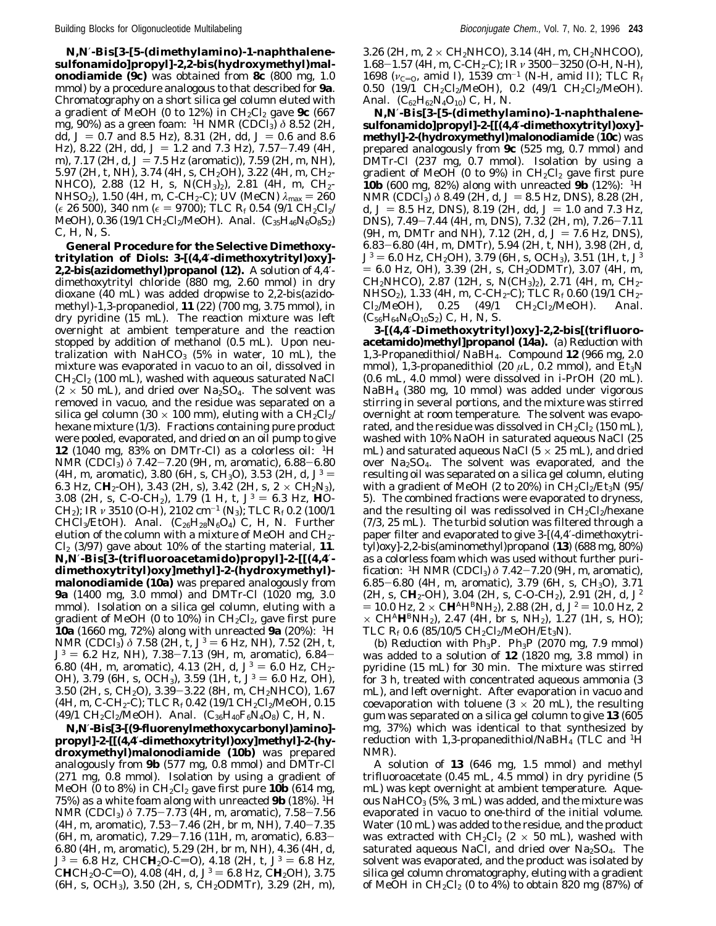*N***,***N*′**-Bis[3-[5-(dimethylamino)-1-naphthalenesulfonamido]propyl]-2,2-bis(hydroxymethyl)malonodiamide (9c)** was obtained from **8c** (800 mg, 1.0 mmol) by a procedure analogous to that described for **9a**. Chromatography on a short silica gel column eluted with a gradient of MeOH (0 to 12%) in CH<sub>2</sub>Cl<sub>2</sub> gave 9c (667 mg, 90%) as a green foam: <sup>1</sup>H NMR (CDCl<sub>3</sub>) δ 8.52 (2H, dd,  $J = 0.7$  and 8.5 Hz), 8.31 (2H, dd,  $J = 0.6$  and 8.6 Hz), 8.22 (2H, dd,  $J = 1.2$  and 7.3 Hz), 7.57-7.49 (4H, m), 7.17 (2H, d,  $J = 7.5$  Hz (aromatic)), 7.59 (2H, m, NH), 5.97 (2H, t, NH), 3.74 (4H, s, CH<sub>2</sub>OH), 3.22 (4H, m, CH<sub>2</sub>-NHCO), 2.88 (12 H, s, N(CH<sub>3</sub>)<sub>2</sub>), 2.81 (4H, m, CH<sub>2</sub>-NHSO<sub>2</sub>), 1.50 (4H, m, C-CH<sub>2</sub>-C); UV (MeCN)  $\lambda_{\text{max}} = 260$ ( $\epsilon$  26 500), 340 nm ( $\epsilon$  = 9700); TLC  $R_f$  0.54 (9/1 CH<sub>2</sub>Cl<sub>2</sub>/ MeOH), 0.36 (19/1 CH<sub>2</sub>Cl<sub>2</sub>/MeOH). Anal. (C<sub>35</sub>H<sub>46</sub>N<sub>6</sub>O<sub>8</sub>S<sub>2</sub>) C, H, N, S.

**General Procedure for the Selective Dimethoxytritylation of Diols: 3-[(4,4**′**-dimethoxytrityl)oxy]- 2,2-bis(azidomethyl)propanol (12).** A solution of 4,4′ dimethoxytrityl chloride (880 mg, 2.60 mmol) in dry dioxane (40 mL) was added dropwise to 2,2-bis(azidomethyl)-1,3-propanediol, **11** (*22*) (700 mg, 3.75 mmol), in dry pyridine (15 mL). The reaction mixture was left overnight at ambient temperature and the reaction stopped by addition of methanol (0.5 mL). Upon neutralization with NaHCO<sub>3</sub> (5% in water, 10 mL), the mixture was evaporated *in vacuo* to an oil, dissolved in  $CH_2Cl_2$  (100 mL), washed with aqueous saturated NaCl  $(2 \times 50 \text{ mL})$ , and dried over Na<sub>2</sub>SO<sub>4</sub>. The solvent was removed *in vacuo*, and the residue was separated on a silica gel column (30  $\times$  100 mm), eluting with a CH<sub>2</sub>Cl<sub>2</sub>/ hexane mixture (1/3). Fractions containing pure product were pooled, evaporated, and dried on an oil pump to give **12** (1040 mg, 83% on DMTr-Cl) as a colorless oil: 1H NMR (CDCl<sub>3</sub>)  $\delta$  7.42-7.20 (9H, m, aromatic), 6.88-6.80 (4H, m, aromatic), 3.80 (6H, s, CH<sub>3</sub>O), 3.53 (2H, d,  $J^3$  = 6.3 Hz, CH<sub>2</sub>-OH), 3.43 (2H, s), 3.42 (2H, s, 2  $\times$  CH<sub>2</sub>N<sub>3</sub>), 3.08 (2H, s, C-O-CH<sub>2</sub>), 1.79 (1 H, t,  $J^3 = 6.3$  Hz, *H*O-CH2); IR *ν* 3510 (O-H), 2102 cm-<sup>1</sup> (N3); TLC *Rf* 0.2 (100/1 CHCl<sub>3</sub>/EtOH). Anal.  $(C_{26}H_{28}N_6O_4)$  C, H, N. Further elution of the column with a mixture of MeOH and CH<sub>2</sub>- $Cl<sub>2</sub>$  (3/97) gave about 10% of the starting material, **11**. *N,N*′**-Bis[3-(trifluoroacetamido)propyl]-2-[[(4,4**′ **dimethoxytrityl)oxy]methyl]-2-(hydroxymethyl) malonodiamide (10a)** was prepared analogously from **9a** (1400 mg, 3.0 mmol) and DMTr-Cl (1020 mg, 3.0 mmol). Isolation on a silica gel column, eluting with a gradient of MeOH (0 to 10%) in  $CH_2Cl_2$ , gave first pure **10a** (1660 mg, 72%) along with unreacted **9a** (20%): 1H NMR (CDCl<sub>3</sub>) *δ* 7.58 (2H, t,  $J^3$  = 6 Hz, NH), 7.52 (2H, t,  $J^3 = 6.2$  Hz, NH), 7.38-7.13 (9H, m, aromatic), 6.84-6.80 (4H, m, aromatic), 4.13 (2H, d,  $J^3 = 6.0$  Hz, CH<sub>2</sub>-OH), 3.79 (6H, s, OCH<sub>3</sub>), 3.59 (1H, t,  $J^3 = 6.0$  Hz, OH), 3.50 (2H, s, CH2O), 3.39-3.22 (8H, m, CH2NHCO), 1.67 (4H, m, C-CH<sub>2</sub>-C); TLC  $R_f$ 0.42 (19/1 CH<sub>2</sub>Cl<sub>2</sub>/MeOH, 0.15 (49/1 CH<sub>2</sub>Cl<sub>2</sub>/MeOH). Anal. (C<sub>36</sub>H<sub>40</sub>F<sub>6</sub>N<sub>4</sub>O<sub>8</sub>) C, H, N.

*N***,***N*′**-Bis[3-[(9-fluorenylmethoxycarbonyl)amino] propyl]-2-[[(4,4**′**-dimethoxytrityl)oxy]methyl]-2-(hydroxymethyl)malonodiamide (10b)** was prepared analogously from **9b** (577 mg, 0.8 mmol) and DMTr-Cl (271 mg, 0.8 mmol). Isolation by using a gradient of MeOH (0 to 8%) in  $CH_2Cl_2$  gave first pure **10b** (614 mg, 75%) as a white foam along with unreacted **9b** (18%). 1H NMR (CDCl3) *δ* 7.75-7.73 (4H, m, aromatic), 7.58-7.56 (4H, m, aromatic), 7.53-7.46 (2H, br m, NH), 7.40-7.35 (6H, m, aromatic), 7.29-7.16 (11H, m, aromatic), 6.83- 6.80 (4H, m, aromatic), 5.29 (2H, br m, NH), 4.36 (4H, d,  $J^3 = 6.8$  Hz, CHC**H**<sub>2</sub>O-C=O), 4.18 (2H, t,  $J^3 = 6.8$  Hz,  $CHCH<sub>2</sub>O-C=O$ ), 4.08 (4H, d,  $J<sup>3</sup> = 6.8$  Hz,  $CH<sub>2</sub>OH$ ), 3.75 (6H, s, OCH3), 3.50 (2H, s, CH2ODMTr), 3.29 (2H, m),

3.26 (2H, m,  $2 \times CH_2NHCO$ ), 3.14 (4H, m, CH<sub>2</sub>NHCOO), 1.68-1.57 (4H, m, C-CH<sub>2</sub>-C); IR *ν* 3500-3250 (O-H, N-H), 1698 ( $v_{C=0}$ , amid I), 1539 cm<sup>-1</sup> (N-H, amid II); TLC  $R_f$ 0.50 (19/1  $CH_2Cl_2/MeOH$ ), 0.2 (49/1  $CH_2Cl_2/MeOH$ ). Anal.  $(C_{62}H_{62}N_4O_{10})$  C, H, N.

*N***,***N*′**-Bis[3-[5-(dimethylamino)-1-naphthalenesulfonamido]propyl]-2-[[(4,4**′**-dimethoxytrityl)oxy] methyl]-2-(hydroxymethyl)malonodiamide** (**10c**) was prepared analogously from **9c** (525 mg, 0.7 mmol) and DMTr-Cl (237 mg, 0.7 mmol). Isolation by using a gradient of MeOH (0 to 9%) in  $CH_2Cl_2$  gave first pure **10b** (600 mg, 82%) along with unreacted **9b** (12%): 1H NMR (CDCl<sub>3</sub>) *δ* 8.49 (2H, d, *J* = 8.5 Hz, DNS), 8.28 (2H, d,  $J = 8.5$  Hz, DNS), 8.19 (2H, dd,  $J = 1.0$  and 7.3 Hz, DNS), 7.49-7.44 (4H, m, DNS), 7.32 (2H, m), 7.26-7.11 (9H, m, DMTr and NH), 7.12 (2H, d,  $J = 7.6$  Hz, DNS), 6.83-6.80 (4H, m, DMTr), 5.94 (2H, t, NH), 3.98 (2H, d,  $J^3 = 6.0$  Hz, CH<sub>2</sub>OH), 3.79 (6H, s, OCH<sub>3</sub>), 3.51 (1H, t,  $J^3$ )  $= 6.0$  Hz, OH),  $3.39$  (2H, s, CH<sub>2</sub>ODMTr),  $3.07$  (4H, m, CH<sub>2</sub>NHCO), 2.87 (12H, s, N(CH<sub>3</sub>)<sub>2</sub>), 2.71 (4H, m, CH<sub>2</sub>-NHSO2), 1.33 (4H, m, C-CH2-C); TLC *Rf* 0.60 (19/1 CH2-  $Cl_2/MeOH$ ), 0.25 (49/1  $CH_2Cl_2/MeOH$ ). Anal.  $(C_{56}H_{64}N_6O_{10}S_2)$  C, H, N, S.

**3-[(4,4**′**-Dimethoxytrityl)oxy]-2,2-bis[(trifluoroacetamido)methyl]propanol (14a).** (*a*) *Reduction with 1,3-Propanedithiol/NaBH4*. Compound **12** (966 mg, 2.0 mmol), 1,3-propanedithiol (20  $\mu$ L, 0.2 mmol), and Et<sub>3</sub>N (0.6 mL, 4.0 mmol) were dissolved in *i*-PrOH (20 mL). NaBH4 (380 mg, 10 mmol) was added under vigorous stirring in several portions, and the mixture was stirred overnight at room temperature. The solvent was evaporated, and the residue was dissolved in  $CH_2Cl_2$  (150 mL), washed with 10% NaOH in saturated aqueous NaCl (25 mL) and saturated aqueous NaCl  $(5 \times 25$  mL), and dried over Na2SO4. The solvent was evaporated, and the resulting oil was separated on a silica gel column, eluting with a gradient of MeOH (2 to 20%) in  $CH_2Cl_2/Et_3N$  (95/ 5). The combined fractions were evaporated to dryness, and the resulting oil was redissolved in  $CH_2Cl_2/h$ exane (7/3, 25 mL). The turbid solution was filtered through a paper filter and evaporated to give 3-[(4,4′-dimethoxytrityl)oxy]-2,2-bis(aminomethyl)propanol (**13**) (688 mg, 80%) as a colorless foam which was used without further purification: 1H NMR (CDCl3) *δ* 7.42-7.20 (9H, m, aromatic), 6.85-6.80 (4H, m, aromatic), 3.79 (6H, s,  $CH<sub>3</sub>O$ ), 3.71 (2H, s, C*H*2-OH), 3.04 (2H, s, C-O-CH2), 2.91 (2H, d, *J*<sup>2</sup>  $= 10.0$  Hz,  $2 \times \overline{CH}$ <sup>HB</sup>NH<sub>2</sub>), 2.88 (2H, d,  $J^2 = 10.0$  Hz, 2<br>
C*HA*  $\overline{CH}$ <sup>2</sup>  $\overline{CH}$  (*HH*<sub>2</sub>), 2.88 (2H, d,  $J^2 = 10.0$  Hz, 2  $\times$  CH<sup>A</sup> $H^BNH_2$ ), 2.47 (4H, br s, NH<sub>2</sub>), 1.27 (1H, s, HO); TLC  $R_f$  0.6 (85/10/5  $CH_2Cl_2/MeOH/Et_3N$ ).

*(b) Reduction with Ph<sub>3</sub>P. Ph<sub>3</sub>P (2070 mg, 7.9 mmol)* was added to a solution of **12** (1820 mg, 3.8 mmol) in pyridine (15 mL) for 30 min. The mixture was stirred for 3 h, treated with concentrated aqueous ammonia (3 mL), and left overnight. After evaporation *in vacuo* and coevaporation with toluene (3  $\times$  20 mL), the resulting gum was separated on a silica gel column to give **13** (605 mg, 37%) which was identical to that synthesized by reduction with 1,3-propanedithiol/NaBH<sub>4</sub> (TLC and <sup>1</sup>H NMR).

A solution of **13** (646 mg, 1.5 mmol) and methyl trifluoroacetate (0.45 mL, 4.5 mmol) in dry pyridine (5 mL) was kept overnight at ambient temperature. Aqueous  $NaHCO<sub>3</sub>$  (5%, 3 mL) was added, and the mixture was evaporated *in vacuo* to one-third of the initial volume. Water (10 mL) was added to the residue, and the product was extracted with  $CH_2Cl_2$  (2  $\times$  50 mL), washed with saturated aqueous NaCl, and dried over Na<sub>2</sub>SO<sub>4</sub>. The solvent was evaporated, and the product was isolated by silica gel column chromatography, eluting with a gradient of MeOH in  $CH_2Cl_2$  (0 to 4%) to obtain 820 mg (87%) of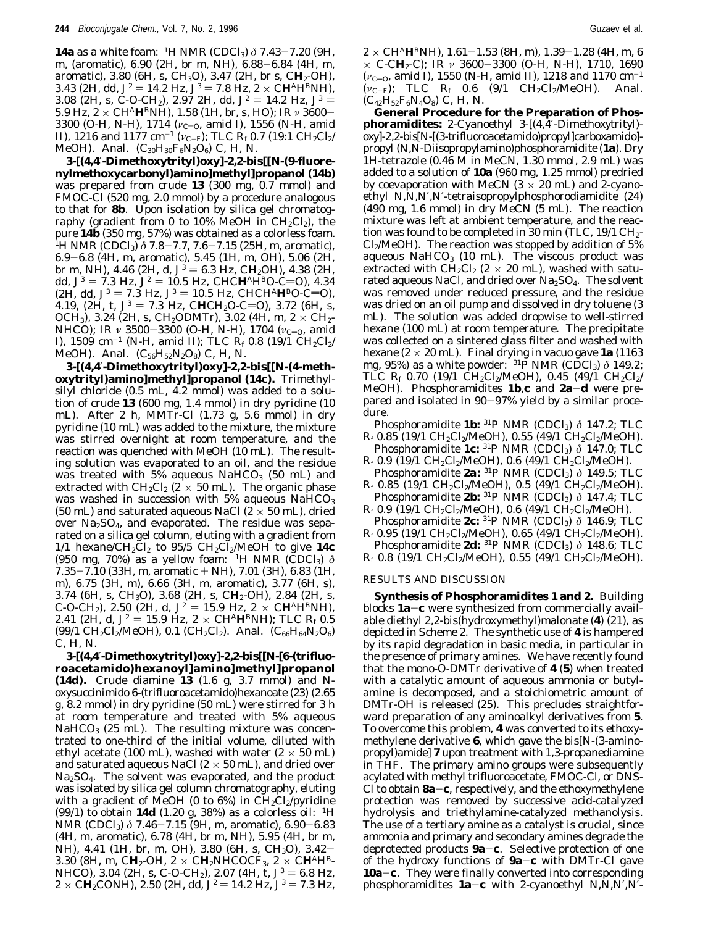**14a** as a white foam: <sup>1</sup>H NMR (CDCl<sub>3</sub>)  $\delta$  7.43-7.20 (9H, m, (aromatic), 6.90 (2H, br m, NH), 6.88-6.84 (4H, m, aromatic), 3.80 (6H, s, CH<sub>3</sub>O), 3.47 (2H, br s, C**H**<sub>2</sub>-OH), 3.43 (2H, dd,  $J^2 = 14.2$  Hz,  $J^3 = 7.8$  Hz, 2  $\times$  CH<sup>A</sup>H<sup>B</sup>NH), 3.08 (2H, s, C-O-CH<sub>2</sub>), 2.97 2H, dd,  $J^2 = 14.2$  Hz,  $J^3 =$ 5.9 Hz, 2 <sup>×</sup> CHA*H*BNH), 1.58 (1H, br, s, HO); IR *<sup>ν</sup>* <sup>3600</sup>- 3300 (O-H, N-H), 1714 ( $v_{C=0}$ , amid I), 1556 (N-H, amid II), 1216 and 1177 cm<sup>-1</sup> ( $v_{C-F}$ ); TLC *R<sub>f</sub>* 0.7 (19:1 CH<sub>2</sub>Cl<sub>2</sub>/ MeOH). Anal.  $(C_{30}H_{30}F_6N_2O_6)$  C, H, N.

**3-[(4,4**′**-Dimethoxytrityl)oxy]-2,2-bis[[***N***-(9-fluorenylmethoxycarbonyl)amino]methyl]propanol (14b)** was prepared from crude **13** (300 mg, 0.7 mmol) and FMOC-Cl (520 mg, 2.0 mmol) by a procedure analogous to that for **8b**. Upon isolation by silica gel chromatography (gradient from 0 to 10% MeOH in  $CH_2Cl_2$ ), the pure **14b** (350 mg, 57%) was obtained as a colorless foam. 1H NMR (CDCl3) *δ* 7.8-7.7, 7.6-7.15 (25H, m, aromatic), 6.9-6.8 (4H, m, aromatic), 5.45 (1H, m, OH), 5.06 (2H, br m, NH), 4.46 (2H, d,  $J^3 = 6.3$  Hz, CH<sub>2</sub>OH), 4.38 (2H, dd,  $J^3 = 7.3$  Hz,  $J^2 = 10.5$  Hz, CHC**H**<sup>A</sup>H<sup>B</sup>O-C=O), 4.34  $(2H, dd, J^3 = 7.3 Hz, J^3 = 10.5 Hz, CHCH^A H^3O-C=O),$ 4.19, (2H, t,  $J^3 = 7.3$  Hz, CHCH<sub>2</sub>O-C=O), 3.72 (6H, s, OCH<sub>3</sub>), 3.24 (2H, s, CH<sub>2</sub>ODMTr), 3.02 (4H, m, 2  $\times$  CH<sub>2</sub>-NHCO); IR *ν* 3500-3300 (Ο-Η, Ν-Η), 1704 ( $v_{C=0}$ , amid I), 1509 cm<sup>-1</sup> (N-H, amid II); TLC  $R_f$  0.8 (19/1 CH<sub>2</sub>Cl<sub>2</sub>/ MeOH). Anal.  $(C_{56}H_{52}N_2O_8)$  C, H, N.

**3-[(4,4**′**-Dimethoxytrityl)oxy]-2,2-bis[[***N***-(4-methoxytrityl)amino]methyl]propanol (14c).** Trimethylsilyl chloride (0.5 mL, 4.2 mmol) was added to a solution of crude **13** (600 mg, 1.4 mmol) in dry pyridine (10 mL). After 2 h, MMTr-Cl (1.73 g, 5.6 mmol) in dry pyridine (10 mL) was added to the mixture, the mixture was stirred overnight at room temperature, and the reaction was quenched with MeOH (10 mL). The resulting solution was evaporated to an oil, and the residue was treated with 5% aqueous NaHCO<sub>3</sub> (50 mL) and extracted with  $CH_2Cl_2$  (2  $\times$  50 mL). The organic phase was washed in succession with 5% aqueous  $NaHCO<sub>3</sub>$ (50 mL) and saturated aqueous NaCl ( $2 \times 50$  mL), dried over Na2SO4, and evaporated. The residue was separated on a silica gel column, eluting with a gradient from  $1/1$  hexane/CH<sub>2</sub>Cl<sub>2</sub> to 95/5 CH<sub>2</sub>Cl<sub>2</sub>/MeOH to give 14c (950 mg, 70%) as a yellow foam: 1H NMR (CDCl3) *δ* 7.35-7.10 (33H, m, aromatic + NH), 7.01 (3H), 6.83 (1H, m), 6.75 (3H, m), 6.66 (3H, m, aromatic), 3.77 (6H, s), 3.74 (6H, s, CH3O), 3.68 (2H, s, C*H*2-OH), 2.84 (2H, s, C-O-CH<sub>2</sub>), 2.50 (2H, d,  $J^2 = 15.9$  Hz, 2  $\times$  CH<sup>A</sup>H<sup>B</sup>NH), 2.41 (2H, d,  $J^2 = 15.9$  Hz, 2  $\times$  CH<sup>A</sup>H<sup>B</sup>NH); TLC  $R_f$  0.5  $(99/1 \text{ CH}_{2}Cl_{2}/\text{MeOH})$ , 0.1  $(CH_{2}Cl_{2})$ . Anal.  $(C_{66}H_{64}N_{2}O_{6})$ C, H, N.

**3-[(4,4**′**-Dimethoxytrityl)oxy]-2,2-bis[[***N***-[6-(trifluoroacetamido)hexanoyl]amino]methyl]propanol (14d).** Crude diamine **13** (1.6 g, 3.7 mmol) and *N*oxysuccinimido 6-(trifluoroacetamido)hexanoate (*23*) (2.65 g, 8.2 mmol) in dry pyridine (50 mL) were stirred for 3 h at room temperature and treated with 5% aqueous  $NaHCO<sub>3</sub>$  (25 mL). The resulting mixture was concentrated to one-third of the initial volume, diluted with ethyl acetate (100 mL), washed with water (2  $\times$  50 mL) and saturated aqueous NaCl  $(2 \times 50 \text{ mL})$ , and dried over  $Na<sub>2</sub>SO<sub>4</sub>$ . The solvent was evaporated, and the product was isolated by silica gel column chromatography, eluting with a gradient of MeOH (0 to 6%) in  $CH_2Cl_2$ /pyridine (99/1) to obtain **14d** (1.20 g, 38%) as a colorless oil: 1H NMR (CDCl3) *δ* 7.46-7.15 (9H, m, aromatic), 6.90-6.83 (4H, m, aromatic), 6.78 (4H, br m, NH), 5.95 (4H, br m, NH), 4.41 (1H, br, m, OH), 3.80 (6H, s, CH<sub>3</sub>O), 3.42-3.30 (8H, m, CH<sub>2</sub>-OH, 2  $\times$  CH<sub>2</sub>NHCOCF<sub>3</sub>, 2  $\times$  CH<sup>A</sup>H<sup>B</sup>-NHCO), 3.04 (2H, s, C-O-CH<sub>2</sub>), 2.07 (4H, t,  $J^3 = 6.8$  Hz,  $2 \times \text{CH}_2$ CONH), 2.50 (2H, dd,  $J^2 = 14.2$  Hz,  $J^3 = 7.3$  Hz,

 $2 \times CH^{A}$ **H**BNH), 1.61-1.53 (8H, m), 1.39-1.28 (4H, m, 6) <sup>×</sup> C-C*H*2-C); IR *<sup>ν</sup>* <sup>3600</sup>-3300 (O-H, N-H), 1710, 1690 ( $v_{\text{C}=0}$ , amid I), 1550 (N-H, amid II), 1218 and 1170 cm<sup>-1</sup> (*ν*C-F); TLC *Rf* 0.6 (9/1 CH2Cl2/MeOH). Anal.  $(C_{42}H_{52}F_6N_4O_8)$  C, H, N.

**General Procedure for the Preparation of Phosphoramidites:** *2-Cyanoethyl 3-[(4,4*′*-Dimethoxytrityl) oxy]-2,2-bis[N-[(3-trifluoroacetamido)propyl]carboxamido] propyl (N,N-Diisopropylamino)phosphoramidite* (**1a**). Dry 1*H*-tetrazole (0.46 M in MeCN, 1.30 mmol, 2.9 mL) was added to a solution of **10a** (960 mg, 1.25 mmol) predried by coevaporation with MeCN  $(3 \times 20 \text{ mL})$  and 2-cyanoethyl *N*,*N*,*N*′,*N*′-tetraisopropylphosphorodiamidite (*24*) (490 mg, 1.6 mmol) in dry MeCN (5 mL). The reaction mixture was left at ambient temperature, and the reaction was found to be completed in 30 min (TLC,  $19/1$  CH<sub>2</sub>-Cl<sub>2</sub>/MeOH). The reaction was stopped by addition of 5% aqueous  $NAHCO<sub>3</sub>$  (10 mL). The viscous product was extracted with  $CH_2Cl_2$  (2  $\times$  20 mL), washed with saturated aqueous NaCl, and dried over  $Na<sub>2</sub>SO<sub>4</sub>$ . The solvent was removed under reduced pressure, and the residue was dried on an oil pump and dissolved in dry toluene (3 mL). The solution was added dropwise to well-stirred hexane (100 mL) at room temperature. The precipitate was collected on a sintered glass filter and washed with hexane (2 × 20 mL). Final drying *in vacuo* gave **1a** (1163 mg, 95%) as a white powder: <sup>31</sup>P NMR (CDCl<sub>3</sub>) δ 149.2; TLC  $R_f$  0.70 (19/1 CH<sub>2</sub>Cl<sub>2</sub>/MeOH), 0.45 (49/1 CH<sub>2</sub>Cl<sub>2</sub>/ MeOH). Phosphoramidites **1b**,**c** and **2a**-**d** were prepared and isolated in 90-97% yield by a similar procedure.

*Phosphoramidite* **1b:**  $3^{1}P$  NMR (CDCl<sub>3</sub>)  $\delta$  147.2; TLC  $R_f$ 0.85 (19/1 CH<sub>2</sub>Cl<sub>2</sub>/MeOH), 0.55 (49/1 CH<sub>2</sub>Cl<sub>2</sub>/MeOH).

*Phosphoramidite* **1c:** <sup>31</sup>P NMR (CDCl<sub>3</sub>)  $\delta$  147.0; TLC  $R_f$  0.9 (19/1 CH<sub>2</sub>Cl<sub>2</sub>/MeOH), 0.6 (49/1 CH<sub>2</sub>Cl<sub>2</sub>/MeOH).

*Phosphoramidite*  $2a$ : <sup>31</sup>P NMR (CDCl<sub>3</sub>)  $\delta$  149.5; TLC  $R_f$  0.85 (19/1 CH<sub>2</sub>Cl<sub>2</sub>/MeOH), 0.5 (49/1 CH<sub>2</sub>Cl<sub>2</sub>/MeOH). *Phosphoramidite* **2b:** <sup>31</sup>P NMR (CDCl<sub>3</sub>)  $\delta$  147.4; TLC

 $R_f$  0.9 (19/1 CH<sub>2</sub>Cl<sub>2</sub>/MeOH), 0.6 (49/1 CH<sub>2</sub>Cl<sub>2</sub>/MeOH).

*Phosphoramidite* **2c:** <sup>31</sup>P NMR (CDCl<sub>3</sub>)  $\delta$  146.9; TLC  $R_f$ 0.95 (19/1 CH<sub>2</sub>Cl<sub>2</sub>/MeOH), 0.65 (49/1 CH<sub>2</sub>Cl<sub>2</sub>/MeOH). *Phosphoramidite* **2d:** <sup>31</sup>P NMR (CDCl<sub>3</sub>)  $\delta$  148.6; TLC

 $R_f$  0.8 (19/1 CH<sub>2</sub>Cl<sub>2</sub>/MeOH), 0.55 (49/1 CH<sub>2</sub>Cl<sub>2</sub>/MeOH).

### RESULTS AND DISCUSSION

**Synthesis of Phosphoramidites 1 and 2.** Building blocks **1a**-**c** were synthesized from commercially available diethyl 2,2-bis(hydroxymethyl)malonate (**4**) (*21*), as depicted in Scheme 2. The synthetic use of **4** is hampered by its rapid degradation in basic media, in particular in the presence of primary amines. We have recently found that the mono-*O*-DMTr derivative of **4** (**5**) when treated with a catalytic amount of aqueous ammonia or butylamine is decomposed, and a stoichiometric amount of DMTr-OH is released (*25*). This precludes straightforward preparation of any aminoalkyl derivatives from **5**. To overcome this problem, **4** was converted to its ethoxymethylene derivative **6**, which gave the bis[*N*-(3-aminopropyl)amide] **7** upon treatment with 1,3-propanediamine in THF. The primary amino groups were subsequently acylated with methyl trifluoroacetate, FMOC-Cl, or DNS-Cl to obtain **8a**-**c**, respectively, and the ethoxymethylene protection was removed by successive acid-catalyzed hydrolysis and triethylamine-catalyzed methanolysis. The use of a tertiary amine as a catalyst is crucial, since ammonia and primary and secondary amines degrade the deprotected products **9a**-**c**. Selective protection of one of the hydroxy functions of **9a**-**c** with DMTr-Cl gave **10a**-**c**. They were finally converted into corresponding phosphoramidites **1a**-**c** with 2-cyanoethyl *N*,*N*,*N*′,*N*′-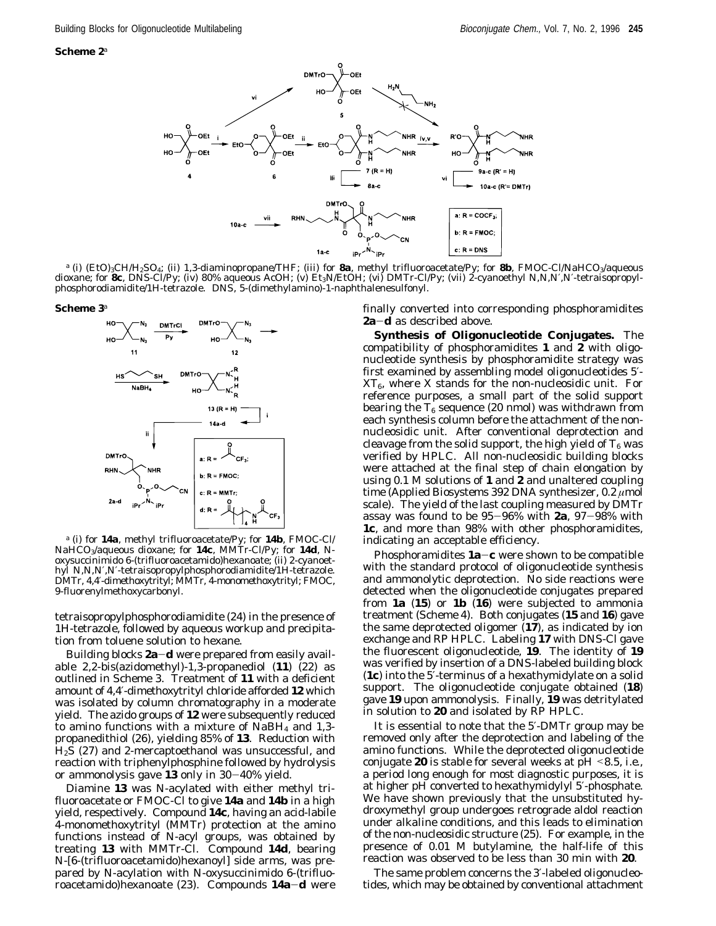

*a* (i) (EtO)<sub>3</sub>CH/H<sub>2</sub>SO<sub>4</sub>; (ii) 1,3-diaminopropane/THF; (iii) for **8a**, methyl trifluoroacetate/Py; for **8b**, FMOC-Cl/NaHCO<sub>3</sub>/aqueous dioxane; for **8c**, DNS-Cl/Py; (iv) 80% aqueous AcOH; (v) Et3N/EtOH; (vi) DMTr-Cl/Py; (vii) 2-cyanoethyl *N*,*N*,*N*′,*N*′-tetraisopropylphosphorodiamidite/1*H*-tetrazole. DNS, 5-(dimethylamino)-1-naphthalenesulfonyl.

#### **Scheme 3***<sup>a</sup>*



*<sup>a</sup>* (i) for **14a**, methyl trifluoroacetate/Py; for **14b**, FMOC-Cl/ NaHCO3/aqueous dioxane; for **14c**, MMTr-Cl/Py; for **14d**, *N*oxysuccinimido 6-(trifluoroacetamido)hexanoate; (ii) 2-cyanoethyl *N*,*N*,*N*′,*N*′-tetraisopropylphosphorodiamidite/1*H*-tetrazole. DMTr, 4,4′-dimethoxytrityl; MMTr, 4-monomethoxytrityl; FMOC, 9-fluorenylmethoxycarbonyl.

tetraisopropylphosphorodiamidite (*24*) in the presence of 1*H*-tetrazole, followed by aqueous workup and precipitation from toluene solution to hexane.

Building blocks **2a**-**d** were prepared from easily available 2,2-bis(azidomethyl)-1,3-propanediol (**11**) (*22*) as outlined in Scheme 3. Treatment of **11** with a deficient amount of 4,4′-dimethoxytrityl chloride afforded **12** which was isolated by column chromatography in a moderate yield. The azido groups of **12** were subsequently reduced to amino functions with a mixture of  $N$ aBH<sub>4</sub> and 1,3propanedithiol (*26*), yielding 85% of **13**. Reduction with H2S (*27*) and 2-mercaptoethanol was unsuccessful, and reaction with triphenylphosphine followed by hydrolysis or ammonolysis gave **13** only in 30-40% yield.

Diamine **13** was N-acylated with either methyl trifluoroacetate or FMOC-Cl to give **14a** and **14b** in a high yield, respectively. Compound **14c**, having an acid-labile 4-monomethoxytrityl (MMTr) protection at the amino functions instead of *N*-acyl groups, was obtained by treating **13** with MMTr-Cl. Compound **14d**, bearing *N*-[6-(trifluoroacetamido)hexanoyl] side arms, was prepared by N-acylation with *N*-oxysuccinimido 6-(trifluoroacetamido)hexanoate (*23*). Compounds **14a**-**d** were

finally converted into corresponding phosphoramidites **2a**-**d** as described above.

**Synthesis of Oligonucleotide Conjugates.** The compatibility of phosphoramidites **1** and **2** with oligonucleotide synthesis by phosphoramidite strategy was first examined by assembling model oligonucleotides 5′-  $XT_6$ , where X stands for the non-nucleosidic unit. For reference purposes, a small part of the solid support bearing the  $T_6$  sequence (20 nmol) was withdrawn from each synthesis column before the attachment of the nonnucleosidic unit. After conventional deprotection and cleavage from the solid support, the high yield of  $T_6$  was verified by HPLC. All non-nucleosidic building blocks were attached at the final step of chain elongation by using 0.1 M solutions of **1** and **2** and unaltered coupling time (Applied Biosystems 392 DNA synthesizer, 0.2 *µ*mol scale). The yield of the last coupling measured by DMTr assay was found to be 95-96% with **2a**, 97-98% with **1c**, and more than 98% with other phosphoramidites, indicating an acceptable efficiency.

Phosphoramidites  $1a-c$  were shown to be compatible with the standard protocol of oligonucleotide synthesis and ammonolytic deprotection. No side reactions were detected when the oligonucleotide conjugates prepared from **1a** (**15**) or **1b** (**16**) were subjected to ammonia treatment (Scheme 4). Both conjugates (**15** and **16**) gave the same deprotected oligomer (**17**), as indicated by ion exchange and RP HPLC. Labeling **17** with DNS-Cl gave the fluorescent oligonucleotide, **19**. The identity of **19** was verified by insertion of a DNS-labeled building block (**1c**) into the 5′-terminus of a hexathymidylate on a solid support. The oligonucleotide conjugate obtained (**18**) gave **19** upon ammonolysis. Finally, **19** was detritylated in solution to **20** and isolated by RP HPLC.

It is essential to note that the 5′-DMTr group may be removed only after the deprotection and labeling of the amino functions. While the deprotected oligonucleotide conjugate **20** is stable for several weeks at pH <8.5, *i*.*e*., a period long enough for most diagnostic purposes, it is at higher pH converted to hexathymidylyl 5′-phosphate. We have shown previously that the unsubstituted hydroxymethyl group undergoes retrograde aldol reaction under alkaline conditions, and this leads to elimination of the non-nucleosidic structure (*25*). For example, in the presence of 0.01 M butylamine, the half-life of this reaction was observed to be less than 30 min with **20**.

The same problem concerns the 3′-labeled oligonucleotides, which may be obtained by conventional attachment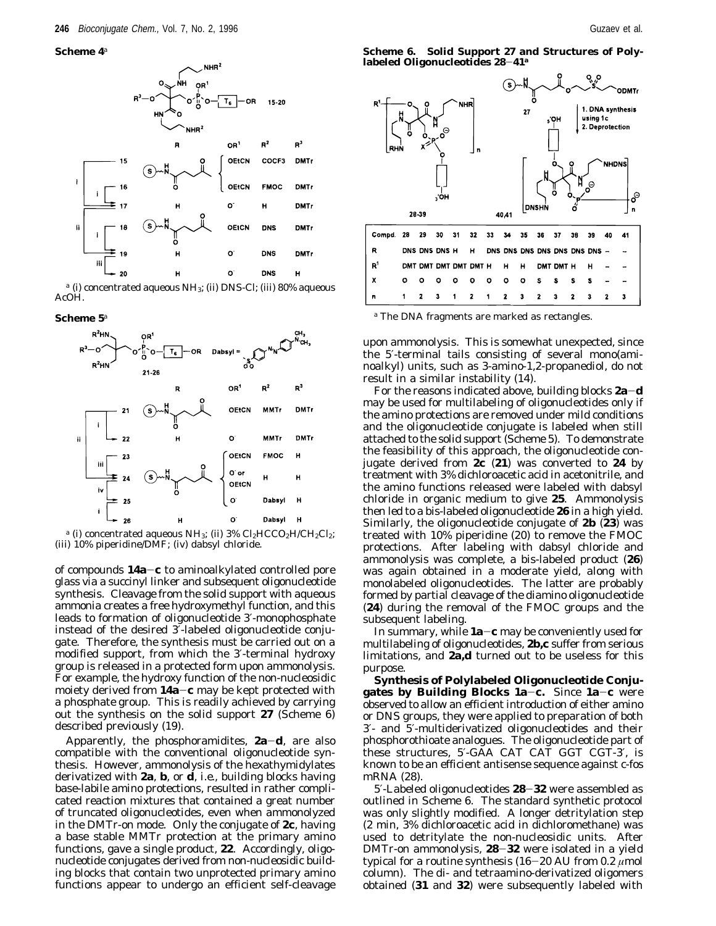



*<sup>a</sup>* (i) concentrated aqueous NH3; (ii) DNS-Cl; (iii) 80% aqueous AcOH.

#### **Scheme 5***<sup>a</sup>*





of compounds **14a**-**c** to aminoalkylated controlled pore glass *via* a succinyl linker and subsequent oligonucleotide synthesis. Cleavage from the solid support with aqueous ammonia creates a free hydroxymethyl function, and this leads to formation of oligonucleotide 3′-monophosphate instead of the desired 3′-labeled oligonucleotide conjugate. Therefore, the synthesis must be carried out on a modified support, from which the 3′-terminal hydroxy group is released in a protected form upon ammonolysis. For example, the hydroxy function of the non-nucleosidic moiety derived from **14a**-**c** may be kept protected with a phosphate group. This is readily achieved by carrying out the synthesis on the solid support **27** (Scheme 6) described previously (*19*).

Apparently, the phosphoramidites,  $2a-d$ , are also compatible with the conventional oligonucleotide synthesis. However, ammonolysis of the hexathymidylates derivatized with **2a**, **b**, or **d**, *i*.*e*., building blocks having base-labile amino protections, resulted in rather complicated reaction mixtures that contained a great number of truncated oligonucleotides, even when ammonolyzed in the DMTr-on mode. Only the conjugate of **2c**, having a base stable MMTr protection at the primary amino functions, gave a single product, **22**. Accordingly, oligonucleotide conjugates derived from non-nucleosidic building blocks that contain two unprotected primary amino functions appear to undergo an efficient self-cleavage

**Scheme 6. Solid Support 27 and Structures of Polylabeled Oligonucleotides 28**-**41***<sup>a</sup>*



*<sup>a</sup>* The DNA fragments are marked as rectangles.

upon ammonolysis. This is somewhat unexpected, since the 5′-terminal tails consisting of several mono(aminoalkyl) units, such as 3-amino-1,2-propanediol, do not result in a similar instability (*14*).

For the reasons indicated above, building blocks **2a**-**d** may be used for multilabeling of oligonucleotides only if the amino protections are removed under mild conditions and the oligonucleotide conjugate is labeled when still attached to the solid support (Scheme 5). To demonstrate the feasibility of this approach, the oligonucleotide conjugate derived from **2c** (**21**) was converted to **24** by treatment with 3% dichloroacetic acid in acetonitrile, and the amino functions released were labeled with dabsyl chloride in organic medium to give **25**. Ammonolysis then led to a bis-labeled oligonucleotide **26** in a high yield. Similarly, the oligonucleotide conjugate of **2b** (**23**) was treated with 10% piperidine (*20*) to remove the FMOC protections. After labeling with dabsyl chloride and ammonolysis was complete, a bis-labeled product (**26**) was again obtained in a moderate yield, along with monolabeled oligonucleotides. The latter are probably formed by partial cleavage of the diamino oligonucleotide (**24**) during the removal of the FMOC groups and the subsequent labeling.

In summary, while **1a**-**c** may be conveniently used for multilabeling of oligonucleotides, **2b,c** suffer from serious limitations, and **2a,d** turned out to be useless for this purpose.

**Synthesis of Polylabeled Oligonucleotide Conjugates by Building Blocks 1a**-**c.** Since **1a**-**c** were observed to allow an efficient introduction of either amino or DNS groups, they were applied to preparation of both 3′- and 5′-multiderivatized oligonucleotides and their phosphorothioate analogues. The oligonucleotide part of these structures, 5′-GAA CAT CAT GGT CGT-3′, is known to be an efficient antisense sequence against *c-fos* mRNA (*28*).

5′-Labeled oligonucleotides **28**-**32** were assembled as outlined in Scheme 6. The standard synthetic protocol was only slightly modified. A longer detritylation step (2 min, 3% dichloroacetic acid in dichloromethane) was used to detritylate the non-nucleosidic units. After DMTr-on ammonolysis, **28**-**32** were isolated in a yield typical for a routine synthesis (16-20 AU from 0.2 *µ*mol column). The di- and tetraamino-derivatized oligomers obtained (**31** and **32**) were subsequently labeled with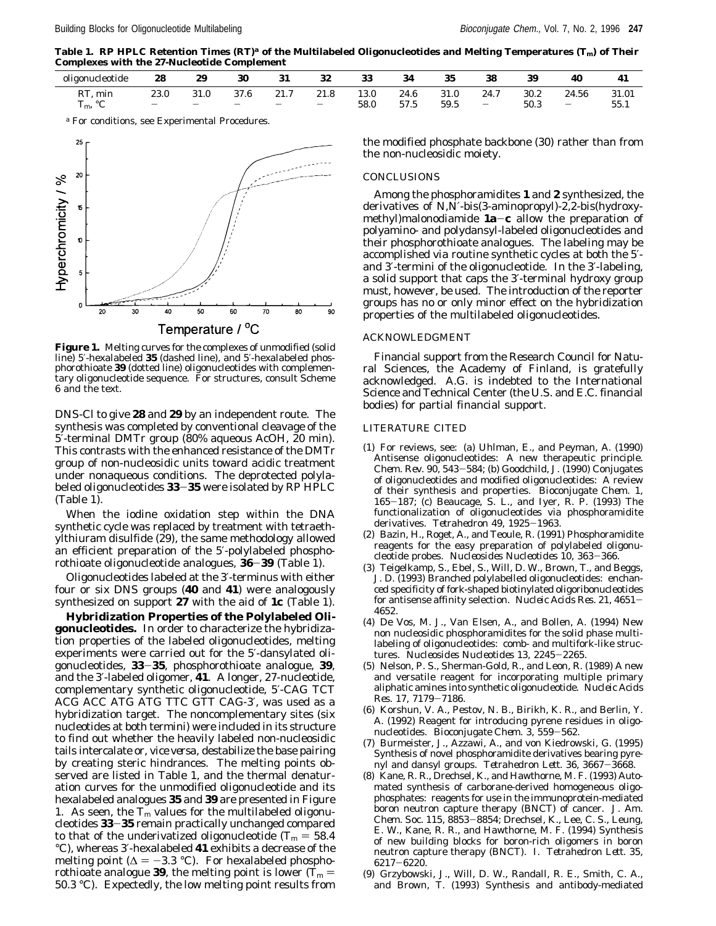**Table 1. RP HPLC Retention Times (RT)***<sup>a</sup>* **of the Multilabeled Oligonucleotides and Melting Temperatures (***T***m) of Their Complexes with the 27-Nucleotide Complement**

| oligonucleotide                                    | 28   | 29                               | 30   | 91<br>Jі                         | 32                        | 33           | 34           | 35           | 38                               | 39           | 40                         | 41            |
|----------------------------------------------------|------|----------------------------------|------|----------------------------------|---------------------------|--------------|--------------|--------------|----------------------------------|--------------|----------------------------|---------------|
| RT<br>min<br>$\circ$<br>$\sim$<br>I <sub>m</sub> , | 23.0 | 31.0<br>$\overline{\phantom{a}}$ | 37.6 | 21.7<br>$\overline{\phantom{a}}$ | 21.8<br>$\qquad \qquad -$ | 13.0<br>58.0 | 24.6<br>57.5 | 31.0<br>59.5 | 24.7<br>$\overline{\phantom{a}}$ | 30.2<br>50.3 | 24.56<br>$\qquad \qquad -$ | 31.01<br>55.1 |

*<sup>a</sup>* For conditions, see Experimental Procedures.



**Figure 1.** Melting curves for the complexes of unmodified (solid line) 5′-hexalabeled **35** (dashed line), and 5′-hexalabeled phosphorothioate **39** (dotted line) oligonucleotides with complementary oligonucleotide sequence. For structures, consult Scheme 6 and the text.

DNS-Cl to give **28** and **29** by an independent route. The synthesis was completed by conventional cleavage of the 5′-terminal DMTr group (80% aqueous AcOH, 20 min). This contrasts with the enhanced resistance of the DMTr group of non-nucleosidic units toward acidic treatment under nonaqueous conditions. The deprotected polylabeled oligonucleotides **33**-**35** were isolated by RP HPLC (Table 1).

When the iodine oxidation step within the DNA synthetic cycle was replaced by treatment with tetraethylthiuram disulfide (*29*), the same methodology allowed an efficient preparation of the 5′-polylabeled phosphorothioate oligonucleotide analogues, **36**-**39** (Table 1).

Oligonucleotides labeled at the 3′-terminus with either four or six DNS groups (**40** and **41**) were analogously synthesized on support **27** with the aid of **1c** (Table 1).

**Hybridization Properties of the Polylabeled Oligonucleotides.** In order to characterize the hybridization properties of the labeled oligonucleotides, melting experiments were carried out for the 5′-dansylated oligonucleotides, **33**-**35**, phosphorothioate analogue, **39**, and the 3′-labeled oligomer, **41**. A longer, 27-nucleotide, complementary synthetic oligonucleotide, 5′-CAG TCT ACG ACC ATG ATG TTC GTT CAG-3′, was used as a hybridization target. The noncomplementary sites (six nucleotides at both termini) were included in its structure to find out whether the heavily labeled non-nucleosidic tails intercalate or, *vice versa*, destabilize the base pairing by creating steric hindrances. The melting points observed are listed in Table 1, and the thermal denaturation curves for the unmodified oligonucleotide and its hexalabeled analogues **35** and **39** are presented in Figure 1. As seen, the  $T_m$  values for the multilabeled oligonucleotides **33**-**35** remain practically unchanged compared to that of the underivatized oligonucleotide ( $T_m = 58.4$ ) °C), whereas 3′-hexalabeled **41** exhibits a decrease of the melting point ( $\Delta = -3.3$  °C). For hexalabeled phosphorothioate analogue 39, the melting point is lower ( $T_m$  = 50.3 °C). Expectedly, the low melting point results from

the modified phosphate backbone (*30*) rather than from the non-nucleosidic moiety.

#### CONCLUSIONS

Among the phosphoramidites **1** and **2** synthesized, the derivatives of *N*,*N*′-bis(3-aminopropyl)-2,2-bis(hydroxymethyl)malonodiamide **1a**-**c** allow the preparation of polyamino- and polydansyl-labeled oligonucleotides and their phosphorothioate analogues. The labeling may be accomplished *via* routine synthetic cycles at both the 5′ and 3′-termini of the oligonucleotide. In the 3′-labeling, a solid support that caps the 3′-terminal hydroxy group must, however, be used. The introduction of the reporter groups has no or only minor effect on the hybridization properties of the multilabeled oligonucleotides.

## ACKNOWLEDGMENT

Financial support from the Research Council for Natural Sciences, the Academy of Finland, is gratefully acknowledged. A.G. is indebted to the International Science and Technical Center (the U.S. and E.C. financial bodies) for partial financial support.

#### LITERATURE CITED

- (1) For reviews, see: (a) Uhlman, E., and Peyman, A. (1990) Antisense oligonucleotides: A new therapeutic principle. *Chem*. *Rev*. *90*, 543-584; (b) Goodchild, J. (1990) Conjugates of oligonucleotides and modified oligonucleotides: A review of their synthesis and properties. *Bioconjugate Chem*. *1*, 165-187; (c) Beaucage, S. L., and Iyer, R. P. (1993) The functionalization of oligonucleotides via phosphoramidite derivatives. *Tetrahedron 49*, 1925-1963.
- (2) Bazin, H., Roget, A., and Teoule, R. (1991) Phosphoramidite reagents for the easy preparation of polylabeled oligonucleotide probes. *Nucleosides Nucleotides 10*, 363-366.
- (3) Teigelkamp, S., Ebel, S., Will, D. W., Brown, T., and Beggs, J. D. (1993) Branched polylabelled oligonucleotides: enchanced specificity of fork-shaped biotinylated oligoribonucleotides for antisense affinity selection. *Nucleic Acids Res*. *21*, 4651- 4652.
- (4) De Vos, M. J., Van Elsen, A., and Bollen, A. (1994) New non nucleosidic phosphoramidites for the solid phase multilabeling of oligonucleotides: comb- and multifork-like structures. *Nucleosides Nucleotides 13*, 2245-2265.
- (5) Nelson, P. S., Sherman-Gold, R., and Leon, R. (1989) A new and versatile reagent for incorporating multiple primary aliphatic amines into synthetic oligonucleotide. *Nucleic Acids Res*. *17*, 7179-7186.
- (6) Korshun, V. A., Pestov, N. B., Birikh, K. R., and Berlin, Y. A. (1992) Reagent for introducing pyrene residues in oligonucleotides. *Bioconjugate Chem*. *3*, 559-562.
- (7) Burmeister, J., Azzawi, A., and von Kiedrowski, G. (1995) Synthesis of novel phosphoramidite derivatives bearing pyrenyl and dansyl groups. *Tetrahedron Lett*. *36*, 3667-3668.
- (8) Kane, R. R., Drechsel, K., and Hawthorne, M. F. (1993) Automated synthesis of carborane-derived homogeneous oligophosphates: reagents for use in the immunoprotein-mediated boron neutron capture therapy (BNCT) of cancer. *J*. *Am*. *Chem*. *Soc*. *115*, 8853-8854; Drechsel, K., Lee, C. S., Leung, E. W., Kane, R. R., and Hawthorne, M. F. (1994) Synthesis of new building blocks for boron-rich oligomers in boron neutron capture therapy (BNCT). I. *Tetrahedron Lett*. *35*, 6217-6220.
- (9) Grzybowski, J., Will, D. W., Randall, R. E., Smith, C. A., and Brown, T. (1993) Synthesis and antibody-mediated